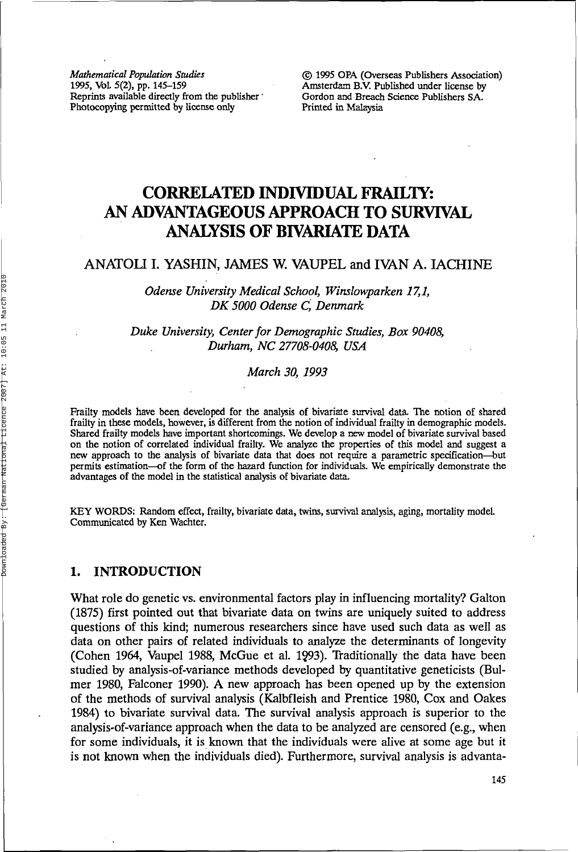*Mathematical Population Studies C* 1995 OPA (Overseas Publishers Association)<br>1995, Vol. 5(2), pp. 145–159 **Amsterdam B.V.** Published under license by Reprints available directly from the publisher • Gordon and Breach Photocopying permitted by license only Printed in Malaysia Photocopying permitted by license only

Amsterdam B.V. Published under license by Gordon and Breach Science Publishers SA.

# **CORRELATED INDIVIDUAL FRAILTY: AN ADVANTAGEOUS APPROACH TO SURVIVAL ANALYSIS OF BIVARIATE DATA**

## ANATOLI I. YASHIN, JAMES W. VAUPEL and IVAN A. IACHINE

*Odense University Medical School, Winslowparken 17,1, DK 5000 Odense C, Denmark*

*Duke University, Center for Demographic Studies, Box 90408, Durham, NC 27708-0408, USA*

*March 30, 1993*

Frailty models have been developed for the analysis of bivariate survival data. The notion of shared frailty in these models, however, is different from the notion of individual frailty in demographic models. Shared frailty models have important shortcomings. We develop a new model of bivariate survival based on the notion of correlated individual frailty. We analyze the properties of this model and suggest a new approach to the analysis of bivariate data that does not require a parametric specification—but permits estimation—of the form of the hazard function for individuals. We empirically demonstrate the advantages of the model in the statistical analysis of bivariate data.

KEY WORDS: Random effect, frailty, bivariate data, twins, survival analysis, aging, mortality model. Communicated by Ken Wachter.

## 1. INTRODUCTION

What role do genetic vs. environmental factors play in influencing mortality? Galton (1875) first pointed out that bivariate data on twins are uniquely suited to address questions of this kind; numerous researchers since have used such data as well as data on other pairs of related individuals to analyze the determinants of longevity (Cohen 1964, Vaupel 1988, McGue et al. 1993). Traditionally the data have been studied by analysis-of-variance methods developed by quantitative geneticists (Bulmer 1980, Falconer 1990). A new approach has been opened up by the extension of the methods of survival analysis (Kalbfleish and Prentice 1980, Cox and Oakes 1984) to bivariate survival data. The survival analysis approach is superior to the analysis-of-variance approach when the data to be analyzed are censored (e.g., when for some individuals, it is known that the individuals were alive at some age but it is not known when the individuals died). Furthermore, survival analysis is advanta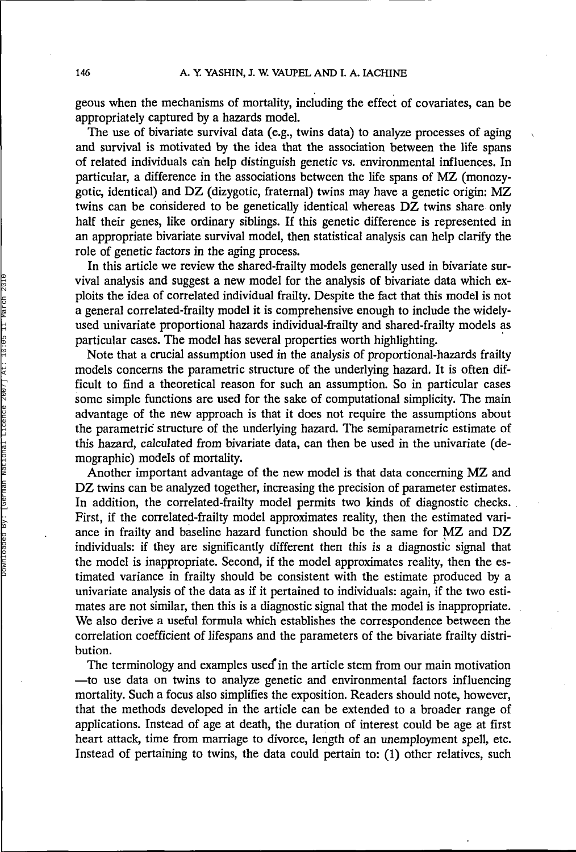geous when the mechanisms of mortality, including the effect of covariates, can be appropriately captured by a hazards model.

 $\lambda$ 

The use of bivariate survival data (e.g., twins data) to analyze processes of aging and survival is motivated by the idea that the association between the life spans of related individuals can help distinguish genetic vs. environmental influences. In particular, a difference in the associations between the life spans of MZ (monozygotic, identical) and DZ (dizygotic, fraternal) twins may have a genetic origin: MZ twins can be considered to be genetically identical whereas DZ twins share only half their genes, like ordinary siblings. If this genetic difference is represented in an appropriate bivariate survival model, then statistical analysis can help clarify the role of genetic factors in the aging process.

In this article we review the shared-frailty models generally used in bivariate survival analysis and suggest a new model for the analysis of bivariate data which exploits the idea of correlated individual frailty. Despite the fact that this model is not a general correlated-frailty model it is comprehensive enough to include the widelyused univariate proportional hazards individual-frailty and shared-frailty models as particular cases. The model has several properties worth highlighting.

Note that a crucial assumption used in the analysis of proportional-hazards frailty models concerns the parametric structure of the underlying hazard. It is often difficult to find a theoretical reason for such an assumption. So in particular cases some simple functions are used for the sake of computational simplicity. The main advantage of the new approach is that it does not require the assumptions about the parametric structure of the underlying hazard. The semiparametric estimate of this hazard, calculated from bivariate data, can then be used in the univariate (demographic) models of mortality.

Another important advantage of the new model is that data concerning MZ and DZ twins can be analyzed together, increasing the precision of parameter estimates. In addition, the correlated-frailty model permits two kinds of diagnostic checks. First, if the correlated-frailty model approximates reality, then the estimated variance in frailty and baseline hazard function should be the same for MZ and DZ individuals: if they are significantly different then this is a diagnostic signal that the model is inappropriate. Second, if the model approximates reality, then the estimated variance in frailty should be consistent with the estimate produced by a univariate analysis of the data as if it pertained to individuals: again, if the two estimates are not similar, then this is a diagnostic signal that the model is inappropriate. We also derive a useful formula which establishes the correspondence between the correlation coefficient of lifespans and the parameters of the bivariate frailty distribution.

The terminology and examples used in the article stem from our main motivation —to use data on twins to analyze genetic and environmental factors influencing mortality. Such a focus also simplifies the exposition. Readers should note, however, that the methods developed in the article can be extended to a broader range of applications. Instead of age at death, the duration of interest could be age at first heart attack, time from marriage to divorce, length of an unemployment spell, etc. Instead of pertaining to twins, the data could pertain to: (1) other relatives, such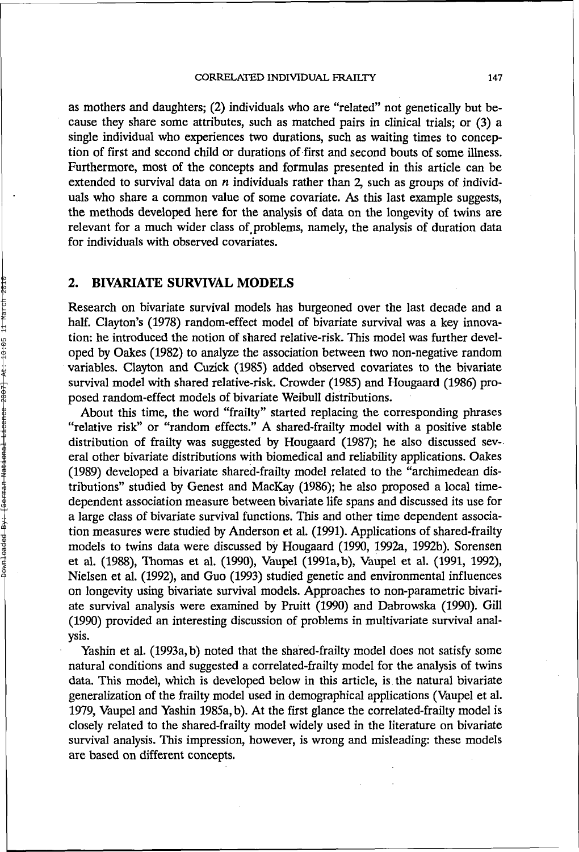as mothers and daughters; (2) individuals who are "related" not genetically but because they share some attributes, such as matched pairs in clinical trials; or (3) a single individual who experiences two durations, such as waiting times to conception of first and second child or durations of first and second bouts of some illness. Furthermore, most of the concepts and formulas presented in this article can be extended to survival data on *n* individuals rather than 2, such as groups of individuals who share a common value of some covariate. As this last example suggests, the methods developed here for the analysis of data on the longevity of twins are relevant for a much wider class of problems, namely, the analysis of duration data for individuals with observed covariates.

#### **2. BIVARIATE SURVIVAL MODELS**

Research on bivariate survival models has burgeoned over the last decade and a half. Clayton's (1978) random-effect model of bivariate survival was a key innovation: he introduced the notion of shared relative-risk. This model was further developed by Oakes (1982) to analyze the association between two non-negative random variables. Clayton and Cuzick (1985) added observed covariates to the bivariate survival model with shared relative-risk. Crowder (1985) and Hougaard (1986) proposed random-effect models of bivariate Weibull distributions.

About this time, the word "frailty" started replacing the corresponding phrases "relative risk" or "random effects." A shared-frailty model with a positive stable distribution of frailty was suggested by Hougaard (1987); he also discussed several other bivariate distributions with biomedical and reliability applications. Oakes (1989) developed a bivariate shared-frailty model related to the "archimedean distributions" studied by Genest and MacKay (1986); he also proposed a local timedependent association measure between bivariate life spans and discussed its use for a large class of bivariate survival functions. This and other time dependent association measures were studied by Anderson et al. (1991). Applications of shared-frailty models to twins data were discussed by Hougaard (1990, 1992a, 1992b). Sorensen et al. (1988), Thomas et al. (1990), Vaupel (1991a, b), Vaupel et al. (1991, 1992), Nielsen et al. (1992), and Guo (1993) studied genetic and environmental influences on longevity using bivariate survival models. Approaches to non-parametric bivariate survival analysis were examined by Pruitt (1990) and Dabrowska (1990). Gill (1990) provided an interesting discussion of problems in multivariate survival analysis.

Yashin et al. (1993a, b) noted that the shared-frailty model does not satisfy some natural conditions and suggested a correlated-frailty model for the analysis of twins data. This model, which is developed below in this article, is the natural bivariate generalization of the frailty model used in demographical applications (Vaupel et al. 1979, Vaupel and Yashin 1985a, b). At the first glance the correlated-frailty model is closely related to the shared-frailty model widely used in the literature on bivariate survival analysis. This impression, however, is wrong and misleading: these models are based on different concepts.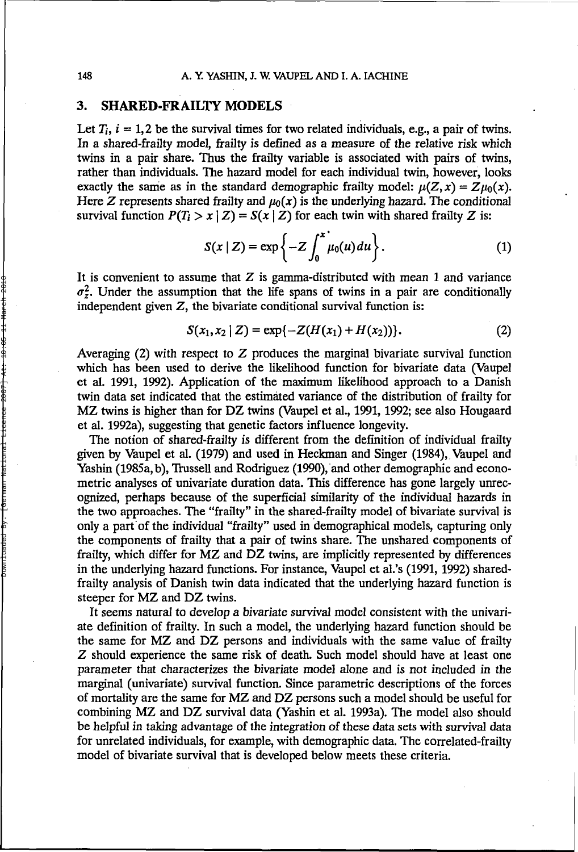## **3. SHARED-FRAILTY MODELS**

Let  $T_i$ ,  $i = 1,2$  be the survival times for two related individuals, e.g., a pair of twins. In a shared-frailty model, frailty is defined as a measure of the relative risk which twins in a pair share. Thus the frailty variable is associated with pairs of twins, rather than individuals. The hazard model for each individual twin, however, looks exactly the same as in the standard demographic frailty model:  $\mu(Z, x) = Z\mu_0(x)$ . Here Z represents shared frailty and  $\mu_0(x)$  is the underlying hazard. The conditional survival function  $P(T_i > x | Z) = S(x | Z)$  for each twin with shared frailty Z is:

$$
S(x \mid Z) = \exp\left\{-Z \int_0^x \mu_0(u) du\right\}.
$$
 (1)

It is convenient to assume that  $Z$  is gamma-distributed with mean 1 and variance  $\sigma_z^2$ . Under the assumption that the life spans of twins in a pair are conditionally independent given  $Z$ , the bivariate conditional survival function is:

$$
S(x_1, x_2 \mid Z) = \exp\{-Z(H(x_1) + H(x_2))\}.
$$
 (2)

Averaging  $(2)$  with respect to Z produces the marginal bivariate survival function which has been used to derive the likelihood function for bivariate data (Vaupel et al. 1991, 1992). Application of the maximum likelihood approach to a Danish twin data set indicated that the estimated variance of the distribution of frailty for MZ twins is higher than for DZ twins (Vaupel et al., 1991, 1992; see also Hougaard et al. 1992a), suggesting that genetic factors influence longevity.

The notion of shared-frailty is different from the definition of individual frailty given by Vaupel et al. (1979) and used in Heckman and Singer (1984), Vaupel and Yashin (1985a, b), Trussell and Rodriguez (1990), and other demographic and econometric analyses of univariate duration data. This difference has gone largely unrecognized, perhaps because of the superficial similarity of the individual hazards in the two approaches. The "frailty" in the shared-frailty model of bivariate survival is only a part of the individual "frailty" used in demographical models, capturing only the components of frailty that a pair of twins share. The unshared components of frailty, which differ for MZ and DZ twins, are implicitly represented by differences in the underlying hazard functions. For instance, Vaupel et al.'s (1991, 1992) sharedfrailty analysis of Danish twin data indicated that the underlying hazard function is steeper for MZ and DZ twins.

It seems natural to develop a bivariate survival model consistent with the univariate definition of frailty. In such a model, the underlying hazard function should be the same for MZ and DZ persons and individuals with the same value of frailty Z should experience the same risk of death. Such model should have at least one parameter that characterizes the bivariate model alone and is not included in the marginal (univariate) survival function. Since parametric descriptions of the forces of mortality are the same for MZ and DZ persons such a model should be useful for combining MZ and DZ survival data (Yashin et al. 1993a). The model also should be helpful in taking advantage of the integration of these data sets with survival data for unrelated individuals, for example, with demographic data. The correlated-frailty model of bivariate survival that is developed below meets these criteria.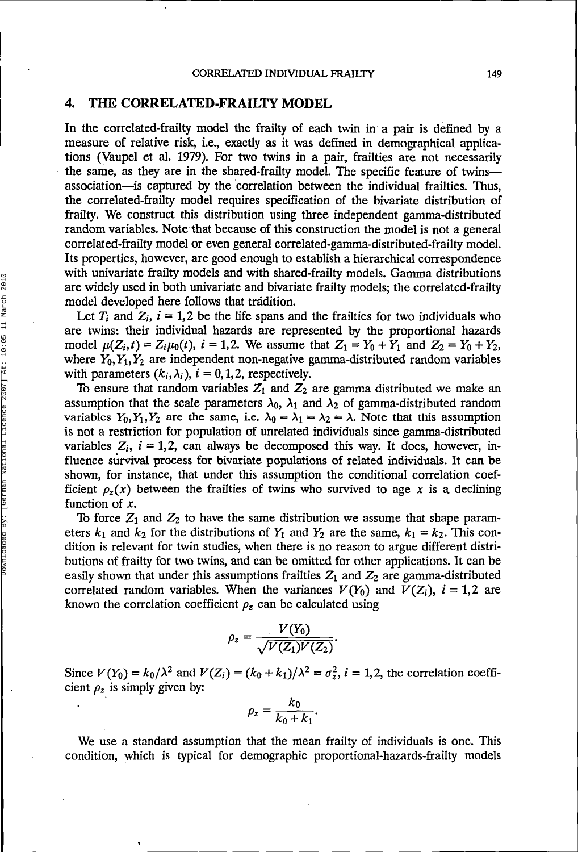#### **4. THE CORRELATED-FRAILTY MODEL**

In the correlated-frailty model the frailty of each twin in a pair is defined by a measure of relative risk, i.e., exactly as it was defined in demographical applications (Vaupel et al. 1979). For two twins in a pair, frailties are not necessarily the same, as they are in the shared-frailty model. The specific feature of twins association—is captured by the correlation between the individual frailties. Thus, the correlated-frailty model requires specification of the bivariate distribution of frailty. We construct this distribution using three independent gamma-distributed random variables. Note that because of this construction the model is not a general correlated-frailty model or even general correlated-gamma-distributed-frailty model. Its properties, however, are good enough to establish a hierarchical correspondence with univariate frailty models and with shared-frailty models. Gamma distributions are widely used in both univariate and bivariate frailty models; the correlated-frailty model developed here follows that tradition.

Let  $T_i$  and  $Z_i$ ,  $i = 1,2$  be the life spans and the frailties for two individuals who are twins: their individual hazards are represented by the proportional hazards model  $\mu(Z_i,t) = Z_i\mu_0(t)$ ,  $i = 1,2$ . We assume that  $Z_1 = Y_0 + Y_1$  and  $Z_2 = Y_0 + Y_2$ , where  $Y_0, Y_1, Y_2$  are independent non-negative gamma-distributed random variables with parameters  $(k_i,\lambda_i)$ ,  $i = 0,1,2$ , respectively.

To ensure that random variables  $Z_1$  and  $Z_2$  are gamma distributed we make an assumption that the scale parameters  $\lambda_0$ ,  $\lambda_1$  and  $\lambda_2$  of gamma-distributed random variables  $Y_0, Y_1, Y_2$  are the same, i.e.  $\lambda_0 = \lambda_1 = \lambda_2 = \lambda$ . Note that this assumption is not a restriction for population of unrelated individuals since gamma-distributed variables  $Z_i$ ,  $i = 1,2$ , can always be decomposed this way. It does, however, influence survival process for bivariate populations of related individuals. It can be shown, for instance, that under this assumption the conditional correlation coefficient  $\rho_z(x)$  between the frailties of twins who survived to age x is a declining function of *x.*

To force  $Z_1$  and  $Z_2$  to have the same distribution we assume that shape parameters  $k_1$  and  $k_2$  for the distributions of  $Y_1$  and  $Y_2$  are the same,  $k_1 = k_2$ . This condition is relevant for twin studies, when there is no reason to argue different distributions of frailty for two twins, and can be omitted for other applications. It can be easily shown that under this assumptions frailties  $Z_1$  and  $Z_2$  are gamma-distributed correlated random variables. When the variances  $V(Y_0)$  and  $V(Z_i)$ ,  $i = 1,2$  are known the correlation coefficient  $\rho_z$  can be calculated using

$$
\rho_z = \frac{V(Y_0)}{\sqrt{V(Z_1)V(Z_2)}}.
$$

Since  $V(Y_0) = k_0/\lambda^2$  and  $V(Z_i) = (k_0 + k_1)/\lambda^2 = \sigma_z^2$ ,  $i = 1, 2$ , the correlation coefficient  $\rho_z$  is simply given by:

$$
\rho_z=\frac{k_0}{k_0+k_1}.
$$

We use a standard assumption that the mean frailty of individuals is one. This condition, which is typical for demographic proportional-hazards-frailty models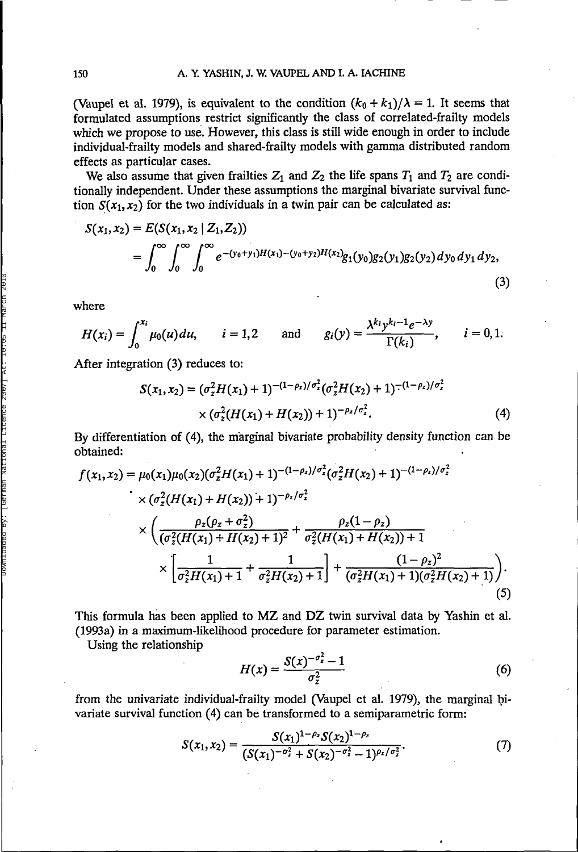(Vaupel et al. 1979), is equivalent to the condition  $(k_0 + k_1)/\lambda = 1$ . It seems that formulated assumptions restrict significantly the class of correlated-frailty models which we propose to use. However, this class is still wide enough in order to include individual-frailty models and shared-frailty models with gamma distributed random effects as particular cases.

We also assume that given frailties  $Z_1$  and  $Z_2$  the life spans  $T_1$  and  $T_2$  are conditionally independent. Under these assumptions the marginal bivariate survival function  $S(x_1, x_2)$  for the two individuals in a twin pair can be calculated as:

$$
S(x_1, x_2) = E(S(x_1, x_2 | Z_1, Z_2))
$$
  
= 
$$
\int_0^\infty \int_0^\infty \int_0^\infty e^{-(y_0 + y_1)H(x_1) - (y_0 + y_2)H(x_2)} g_1(y_0) g_2(y_1) g_2(y_2) dy_0 dy_1 dy_2,
$$
 (3)

where

$$
H(x_i)=\int_0^{x_i}\mu_0(u)du,\qquad i=1,2\qquad\text{and}\qquad g_i(y)=\frac{\lambda^{k_i}y^{k_i-1}e^{-\lambda y}}{\Gamma(k_i)},\qquad i=0,1.
$$

After integration (3) reduces to:

$$
S(x_1, x_2) = (\sigma_z^2 H(x_1) + 1)^{-(1 - \rho_z)/\sigma_z^2} (\sigma_z^2 H(x_2) + 1)^{-(1 - \rho_z)/\sigma_z^2}
$$
  
× (\sigma\_z^2 (H(x\_1) + H(x\_2)) + 1)^{-\rho\_z/\sigma\_z^2}. (4)

By differentiation of (4), the marginal bivariate probability density function can be obtained:

$$
f(x_1, x_2) = \mu_0(x_1)\mu_0(x_2)(\sigma_z^2 H(x_1) + 1)^{-(1-\rho_z)/\sigma_z^2}(\sigma_z^2 H(x_2) + 1)^{-(1-\rho_z)/\sigma_z^2}
$$
  
\n
$$
\times (\sigma_z^2 (H(x_1) + H(x_2)) + 1)^{-\rho_z/\sigma_z^2}
$$
  
\n
$$
\times \left(\frac{\rho_z(\rho_z + \sigma_z^2)}{(\sigma_z^2 (H(x_1) + H(x_2) + 1)^2} + \frac{\rho_z(1-\rho_z)}{\sigma_z^2 (H(x_1) + H(x_2)) + 1}\right)
$$
  
\n
$$
\times \left[\frac{1}{\sigma_z^2 H(x_1) + 1} + \frac{1}{\sigma_z^2 H(x_2) + 1}\right] + \frac{(1-\rho_z)^2}{(\sigma_z^2 H(x_1) + 1)(\sigma_z^2 H(x_2) + 1)}.
$$
\n(5)

This formula has been applied to MZ and DZ twin survival data by Yashin et al. (1993a) in a maximum-likelihood procedure for parameter estimation.

Using the relationship

$$
H(x) = \frac{S(x)^{-\sigma_z^2} - 1}{\sigma_z^2} \tag{6}
$$

from the univariate individual-frailty model (Vaupel et al. 1979), the marginal bivariate survival function (4) can be transformed to a semiparametric form:

$$
S(x_1, x_2) = \frac{S(x_1)^{1-\rho_z} S(x_2)^{1-\rho_z}}{(S(x_1)^{-\sigma_z^2} + S(x_2)^{-\sigma_z^2} - 1)^{\rho_z/\sigma_z^2}}.
$$
(7)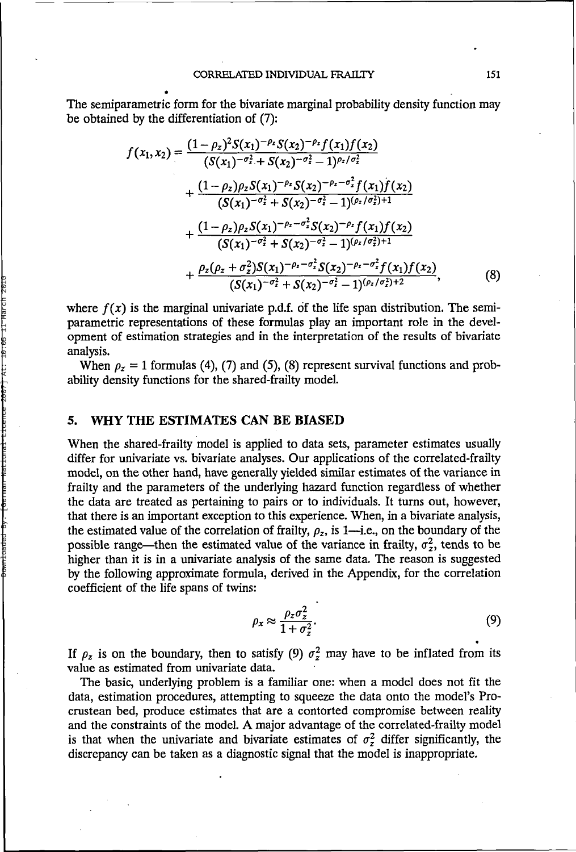The semiparametric form for the bivariate marginal probability density function may be obtained by the differentiation of (7):

$$
f(x_1, x_2) = \frac{(1 - \rho_z)^2 S(x_1)^{-\rho_z} S(x_2)^{-\rho_z} f(x_1) f(x_2)}{(S(x_1)^{-\sigma_z^2} + S(x_2)^{-\sigma_z^2} - 1)^{\rho_z/\sigma_z^2}} + \frac{(1 - \rho_z)\rho_z S(x_1)^{-\rho_z} S(x_2)^{-\rho_z - \sigma_z^2} f(x_1) f(x_2)}{(S(x_1)^{-\sigma_z^2} + S(x_2)^{-\sigma_z^2} - 1)^{(\rho_z/\sigma_z^2)+1}} + \frac{(1 - \rho_z)\rho_z S(x_1)^{-\rho_z - \sigma_z^2} S(x_2)^{-\rho_z} f(x_1) f(x_2)}{(S(x_1)^{-\sigma_z^2} + S(x_2)^{-\sigma_z^2} - 1)^{(\rho_z/\sigma_z^2)+1}} + \frac{\rho_z(\rho_z + \sigma_z^2) S(x_1)^{-\rho_z - \sigma_z^2} S(x_2)^{-\rho_z - \sigma_z^2} f(x_1) f(x_2)}{(S(x_1)^{-\sigma_z^2} + S(x_2)^{-\sigma_z^2} - 1)^{(\rho_z/\sigma_z^2)+2}},
$$
(8)

where  $f(x)$  is the marginal univariate p.d.f. of the life span distribution. The semiparametric representations of these formulas play an important role in the development of estimation strategies and in the interpretation of the results of bivariate analysis.

When  $\rho_z = 1$  formulas (4), (7) and (5), (8) represent survival functions and probability density functions for the shared-frailty model.

## **5. WHY THE ESTIMATES CAN BE BIASED**

When the shared-frailty model is applied to data sets, parameter estimates usually differ for univariate vs. bivariate analyses. Our applications of the correlated-frailty model, on the other hand, have generally yielded similar estimates of the variance in frailty and the parameters of the underlying hazard function regardless of whether the data are treated as pertaining to pairs or to individuals. It turns out, however, that there is an important exception to this experience. When, in a bivariate analysis, the estimated value of the correlation of frailty,  $\rho_z$ , is 1—i.e., on the boundary of the possible range—then the estimated value of the variance in frailty,  $\sigma_z^2$ , tends to be higher than it is in a univariate analysis of the same data. The reason is suggested by the following approximate formula, derived in the Appendix, for the correlation coefficient of the life spans of twins:

$$
\rho_x \approx \frac{\rho_z \sigma_z^2}{1 + \sigma_z^2}.\tag{9}
$$

If  $\rho_z$  is on the boundary, then to satisfy (9)  $\sigma_z^2$  may have to be inflated from its value as estimated from univariate data.

The basic, underlying problem is a familiar one: when a model does not fit the data, estimation procedures, attempting to squeeze the data onto the model's Procrustean bed, produce estimates that are a contorted compromise between reality and the constraints of the model. A major advantage of the correlated-frailty model is that when the univariate and bivariate estimates of  $\sigma_z^2$  differ significantly, the discrepancy can be taken as a diagnostic signal that the model is inappropriate.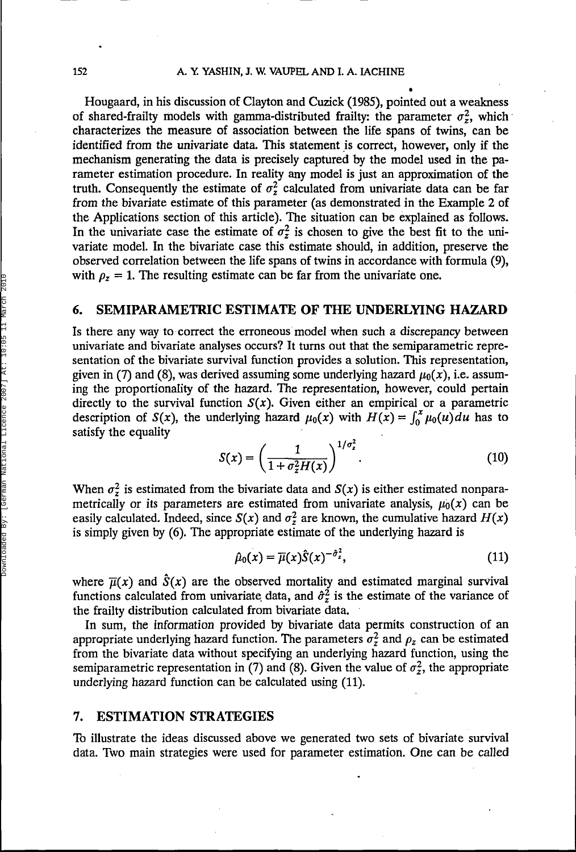**•**

Hougaard, in his discussion of Clayton and Cuzick (1985), pointed out a weakness of shared-frailty models with gamma-distributed frailty: the parameter  $\sigma_z^2$ , which characterizes the measure of association between the life spans of twins, can be identified from the univariate data. This statement is correct, however, only if the mechanism generating the data is precisely captured by the model used in the parameter estimation procedure. In reality any model is just an approximation of the truth. Consequently the estimate of  $\sigma_z^2$  calculated from univariate data can be far from the bivariate estimate of this parameter (as demonstrated in the Example 2 of the Applications section of this article). The situation can be explained as follows. In the univariate case the estimate of  $\sigma_z^2$  is chosen to give the best fit to the univariate model. In the bivariate case this estimate should, in addition, preserve the observed correlation between the life spans of twins in accordance with formula (9), with  $\rho_z = 1$ . The resulting estimate can be far from the univariate one.

## **6. SEMIPARAMETRIC ESTIMATE OF THE UNDERLYING HAZARD**

Is there any way to correct the erroneous model when such a discrepancy between univariate and bivariate analyses occurs? It turns out that the semiparametric representation of the bivariate survival function provides a solution. This representation, given in (7) and (8), was derived assuming some underlying hazard  $\mu_0(x)$ , i.e. assuming the proportionality of the hazard. The representation, however, could pertain directly to the survival function  $S(x)$ . Given either an empirical or a parametric description of  $S(x)$ , the underlying hazard  $\mu_0(x)$  with  $H(x) = \int_0^x \mu_0(u) du$  has to satisfy the equality

$$
S(x) = \left(\frac{1}{1 + \sigma_z^2 H(x)}\right)^{1/\sigma_z^2}.
$$
 (10)

When  $\sigma_z^2$  is estimated from the bivariate data and  $S(x)$  is either estimated nonparametrically or its parameters are estimated from univariate analysis,  $\mu_0(x)$  can be easily calculated. Indeed, since  $S(x)$  and  $\sigma_z^2$  are known, the cumulative hazard  $H(x)$ is simply given by (6). The appropriate estimate of the underlying hazard is

$$
\hat{\mu}_0(x) = \overline{\mu}(x)\hat{S}(x)^{-\hat{\sigma}^2_{z}},\tag{11}
$$

where  $\overline{\mu}(x)$  and  $\hat{S}(x)$  are the observed mortality and estimated marginal survival functions calculated from univariate data, and  $\hat{\sigma}_z^2$  is the estimate of the variance of the frailty distribution calculated from bivariate data.

In sum, the information provided by bivariate data permits construction of an appropriate underlying hazard function. The parameters  $\sigma_z^2$  and  $\rho_z$  can be estimated from the bivariate data without specifying an underlying hazard function, using the semiparametric representation in (7) and (8). Given the value of  $\sigma_z^2$ , the appropriate underlying hazard function can be calculated using (11).

#### **7. ESTIMATION STRATEGIES**

To illustrate the ideas discussed above we generated two sets of bivariate survival data. Two main strategies were used for parameter estimation. One can be called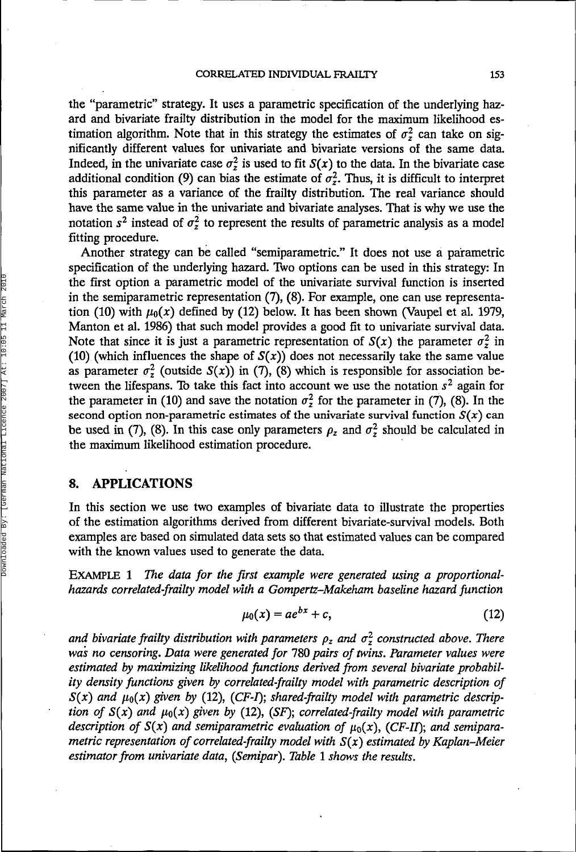the "parametric" strategy. It uses a parametric specification of the underlying hazard and bivariate frailty distribution in the model for the maximum likelihood estimation algorithm. Note that in this strategy the estimates of  $\sigma^2$  can take on significantly different values for univariate and bivariate versions of the same data. Indeed, in the univariate case  $\sigma_z^2$  is used to fit  $S(x)$  to the data. In the bivariate case additional condition (9) can bias the estimate of  $\sigma_z^2$ . Thus, it is difficult to interpret this parameter as a variance of the frailty distribution. The real variance should have the same value in the univariate and bivariate analyses. That is why we use the notation  $s^2$  instead of  $\sigma^2$  to represent the results of parametric analysis as a model fitting procedure.

Another strategy can be called "semiparametric." It does not use a parametric specification of the underlying hazard. Two options can be used in this strategy: In the first option a parametric model of the univariate survival function is inserted in the semiparametric representation (7), (8). For example, one can use representation (10) with  $\mu_0(x)$  defined by (12) below. It has been shown (Vaupel et al. 1979, Manton et al. 1986) that such model provides a good fit to univariate survival data. Note that since it is just a parametric representation of  $S(x)$  the parameter  $\sigma^2$  in (10) (which influences the shape of  $S(x)$ ) does not necessarily take the same value as parameter  $\sigma_z^2$  (outside  $S(x)$ ) in (7), (8) which is responsible for association between the lifespans. To take this fact into account we use the notation  $s^2$  again for the parameter in (10) and save the notation  $\sigma_z^2$  for the parameter in (7), (8). In the second option non-parametric estimates of the univariate survival function  $S(x)$  can be used in (7), (8). In this case only parameters  $\rho_z$  and  $\sigma_z^2$  should be calculated in the maximum likelihood estimation procedure.

## **8. APPLICATIONS**

In this section we use two examples of bivariate data to illustrate the properties of the estimation algorithms derived from different bivariate-survival models. Both examples are based on simulated data sets so that estimated values can be compared with the known values used to generate the data.

EXAMPLE 1 *The data for the first example were generated using a proportionalhazards correlated-frailty model with a Gompertz-Makeham baseline hazard function*

$$
\mu_0(x) = ae^{bx} + c,\tag{12}
$$

and bivariate frailty distribution with parameters  $\rho_z$  and  $\sigma_z^2$  constructed above. There *was no censoring. Data were generated for* 780 *pairs of twins. Parameter values were estimated by maximizing likelihood functions derived from several bivariate probability density functions given by correlated-frailty model with parametric description of*  $S(x)$  and  $\mu_0(x)$  given by (12), (CF-I); shared-frailty model with parametric descrip*tion of*  $S(x)$  and  $\mu_0(x)$  given by (12), (SF); correlated-frailty model with parametric *description of*  $S(x)$  and semiparametric evaluation of  $\mu_0(x)$ , (CF-II); and semipara*metric representation of correlated-frailty model with S(x) estimated by Kaplan-Meier estimator from univariate data, (Semipar). Table* 1 *shows the results.*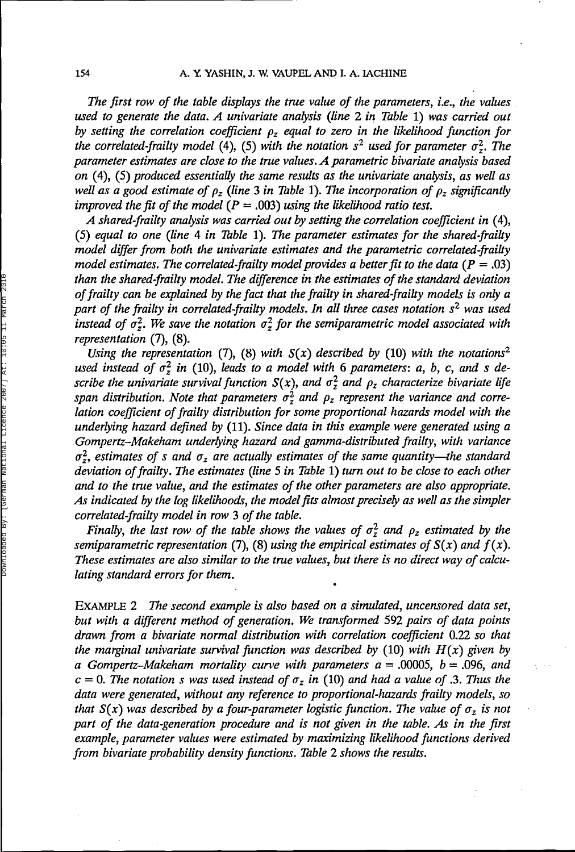*The first row of the table displays the true value of the parameters, i.e., the values used to generate the data. A univariate analysis (line 2 in Table* 1) *was carried out by setting the correlation coefficient p<sup>z</sup> equal to zero in the likelihood function for* the correlated-frailty model (4), (5) with the notation  $s^2$  used for parameter  $\sigma_z^2$ . The *parameter estimates are close to the true values. A parametric bivariate analysis based on* (4), (5) *produced essentially the same results as the univariate analysis, as well as* well as a good estimate of  $\rho_z$  (line 3 in Table 1). The incorporation of  $\rho_z$  significantly *improved the fit of the model* ( $P = .003$ ) *using the likelihood ratio test.* 

*A shared-frailty analysis was carried out by setting the correlation coefficient in* (4), (5) *equal to one (line* 4 *in Table* 1). *The parameter estimates for the shared-frailty model differ from both the univariate estimates and the parametric correlated-frailty model estimates. The correlated-frailty model provides a better fit to the data (* $P = .03$ *) than the shared-frailty model. The difference in the estimates of the standard deviation of frailty can be explained by the fact that the frailty in shared-frailty models is only a part of the frailty in correlated-frailty models. In all three cases notation s<sup>2</sup> was used* instead of  $\sigma^2$ . We save the notation  $\sigma^2$  for the semiparametric model associated with *representation* (7), (8).

*Using the representation* (7), (8) with  $S(x)$  described by (10) with the notations<sup>2</sup> used instead of  $\sigma_z^2$  in (10), leads to a model with 6 parameters: a, b, c, and s de*scribe the univariate survival function*  $S(x)$ , and  $\sigma_z^2$  and  $\rho_z$  characterize bivariate life span distribution. Note that parameters  $\sigma_z^2$  and  $\rho_z$  represent the variance and corre*lation coefficient of frailty distribution for some proportional hazards model with the underlying hazard defined by* (11). *Since data in this example were generated using a Gompertz-Makeham underlying hazard and gamma-distributed frailty, with variance*  $\sigma_z^2$ , estimates of s and  $\sigma_z$  are actually estimates of the same quantity—the standard *deviation of frailty. The estimates (line* 5 *in Table* 1) *turn out to be close to each other and to the true value, and the estimates of the other parameters are also appropriate. As indicated by the log likelihoods, the model fits almost precisely as well as the simpler correlated-frailty model in row* 3 *of the table.*

*Finally, the last row of the table shows the values of*  $\sigma_z^2$  *and*  $\rho_z$  *estimated by the semiparametric representation* (7), (8) using the empirical estimates of  $S(x)$  and  $f(x)$ . *These estimates are also similar to the true values, but there is no direct way of calculating standard errors for them.*

EXAMPLE 2 *The second example is also based on a simulated, uncensored data set, but with a different method of generation. We transformed* 592 *pairs of data points drawn from a bivariate normal distribution with correlation coefficient* 0.22 *so that the marginal univariate survival function was described by* (10) *with H(x) given by a Gompertz-Makeham mortality curve with parameters a* = .00005, *b* = .096, *and*  $c = 0$ . The notation s was used instead of  $\sigma_z$  in (10) and had a value of .3. Thus the *data were generated, without any reference to proportional-hazards frailty models, so that*  $S(x)$  was described by a four-parameter logistic function. The value of  $\sigma_z$  is not *part of the data-generation procedure and is not given in the table. As in the first example, parameter values were estimated by maximizing likelihood functions derived from bivariate probability density functions. Table 2 shows the results.*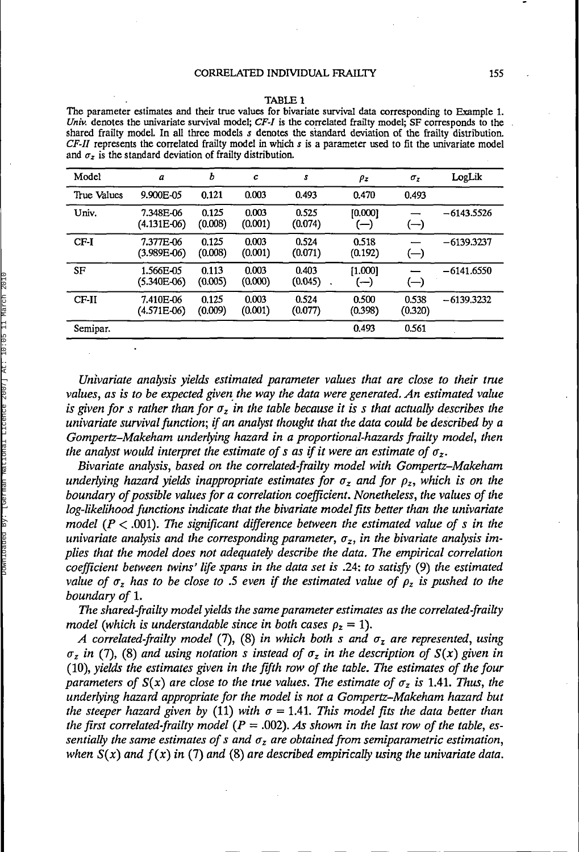#### TABLE 1

The parameter estimates and their true values for bivariate survival data corresponding to Example 1. *Univ.* denotes the univariate survival model; *CF-I* is the correlated frailty model; SF corresponds to the shared frailty model. In all three models *s* denotes the standard deviation of the frailty distribution. *CF-II* represents the correlated frailty model in which *s* is a parameter used to fit the univariate model and  $\sigma_z$  is the standard deviation of frailty distribution.

| Model       | a                        | b                | $\mathbf c$      | s                | $\rho_z$         | $\sigma_z$                   | LogLik       |
|-------------|--------------------------|------------------|------------------|------------------|------------------|------------------------------|--------------|
| True Values | 9.900E-05                | 0.121            | 0.003            | 0.493            | 0.470            | 0.493                        |              |
| Univ.       | 7.348E-06<br>(4.131E-06) | 0.125<br>(0.008) | 0.003<br>(0.001) | 0.525<br>(0.074) | [0.000]<br>(— ا  | (—)                          | $-6143.5526$ |
| $CF-I$      | 7.377E-06<br>(3.989E-06) | 0.125<br>(0.008) | 0.003<br>(0.001) | 0.524<br>(0.071) | 0.518<br>(0.192) | $(-)$                        | $-6139.3237$ |
| SF          | 1.566E-05<br>(5.340E-06) | 0.113<br>(0.005) | 0.003<br>(0.000) | 0.403<br>(0.045) | [1.000]<br>$(-)$ | $\left( \rightarrow \right)$ | $-6141.6550$ |
| $CF-II$     | 7.410E-06<br>(4.571E-06) | 0.125<br>(0.009) | 0.003<br>(0.001) | 0.524<br>(0.077) | 0.500<br>(0.398) | 0.538<br>(0.320)             | $-6139.3232$ |
| Semipar.    |                          |                  |                  |                  | 0.493            | 0.561                        |              |

*Univariate analysis yields estimated parameter values that are close to their true values, as is to be expected given the way the data were generated. An estimated value* is given for  $s$  rather than for  $\sigma_z$  in the table because it is  $s$  that actually describes the *univariate survival function; if an analyst thought that the data could be described by a Gompertz-Makeham underlying hazard in a proportional-hazards frailty model, then the analyst would interpret the estimate of s as if it were an estimate of*  $\sigma_z$ *.* 

*Bivariate analysis, based on the correlated-frailty model with Gompertz-Makeham underlying hazard yields inappropriate estimates for a<sup>z</sup> and for p<sup>z</sup> , which is on the boundary of possible values for a correlation coefficient. Nonetheless, the values of the log-likelihood functions indicate that the bivariate model fits better than the univariate model (P* < .001). *The significant difference between the estimated value of s in the univariate analysis and the corresponding parameter, a<sup>z</sup> , in the bivariate analysis implies that the model does not adequately describe the data. The empirical correlation coefficient between twins' life spans in the data set is* .24: *to satisfy* (9) *the estimated value of*  $\sigma_z$  *has to be close to .5 even if the estimated value of*  $\rho_z$  *is pushed to the boundary of* 1.

*The shared-frailty model yields the same parameter estimates as the correlated-frailty model* (which is understandable since in both cases  $\rho_z = 1$ ).

*A correlated-frailty model* (7), (8) *in which both s and a<sup>z</sup> are represented, using*  $\sigma_z$  in (7), (8) and using notation s instead of  $\sigma_z$  in the description of  $S(x)$  given in (10), *yields the estimates given in the fifth row of the table. The estimates of the four parameters of*  $S(x)$  are close to the true values. The estimate of  $\sigma_z$  is 1.41. Thus, the *underlying hazard appropriate for the model is not a Gompertz-Makeham hazard but the steeper hazard given by* (11) *with*  $\sigma = 1.41$ *. This model fits the data better than the first correlated-frailty model (P* = .002). *As shown in the last row of the table, essentially the same estimates of s and a<sup>z</sup> are obtained from semiparametric estimation, •when S(x) and f(x) in* (7) *and* (8) *are described empirically using the univariate data.*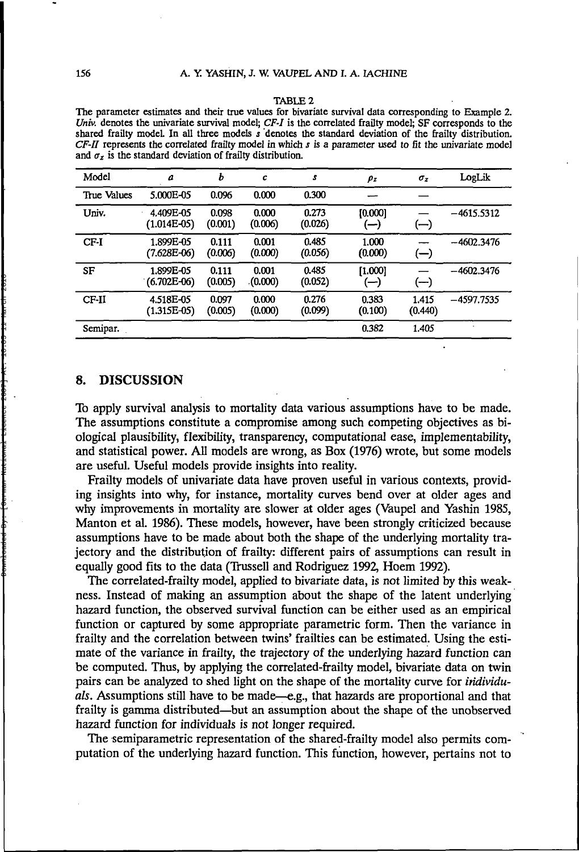#### TABLE 2

The parameter estimates and their true values for bivariate survival data corresponding to Example 2. *Univ.* denotes the univariate survival model; *CF-I* is the correlated frailty model; SF corresponds to the shared frailty model In all three models *s* denotes the standard deviation of the frailty distribution. *CF-II* represents the correlated frailty model in which *s is* a parameter used to fit the univariate model and  $\sigma_z$  is the standard deviation of frailty distribution.

| Model       | a                          | ь                | с                | s                | $\rho_z$         | $\sigma_z$                                    | LogLik       |
|-------------|----------------------------|------------------|------------------|------------------|------------------|-----------------------------------------------|--------------|
| True Values | 5.000E-05                  | 0.096            | 0.000            | 0.300            |                  |                                               |              |
| Univ.       | 4.409E-05<br>$(1.014E-05)$ | 0.098<br>(0.001) | 0.000<br>(0.006) | 0.273<br>(0.026) | [0.000]<br>—)    | $\left( \begin{matrix} -\end{matrix} \right)$ | $-4615.5312$ |
| CF-I        | 1.899E-05<br>$(7.628E-06)$ | 0.111<br>(0.006) | 0.001<br>(0.000) | 0.485<br>(0.056) | 1.000<br>(0.000) | $(-)$                                         | $-4602.3476$ |
| SF          | 1.899E-05<br>$(6.702E-06)$ | 0.111<br>(0.005) | 0.001<br>(0.000) | 0.485<br>(0.052) | [1.000]<br>(—)   | (—)                                           | $-4602.3476$ |
| CF-II       | 4.518E-05<br>$(1.315E-05)$ | 0.097<br>(0.005) | 0.000<br>(0.000) | 0.276<br>(0.099) | 0.383<br>(0.100) | 1.415<br>(0.440)                              | $-4597.7535$ |
| Semipar.    |                            |                  |                  |                  | 0.382            | 1.405                                         |              |

#### 8. DISCUSSION

To apply survival analysis to mortality data various assumptions have to be made. The assumptions constitute a compromise among such competing objectives as biological plausibility, flexibility, transparency, computational ease, implementability, and statistical power. All models are wrong, as Box (1976) wrote, but some models are useful. Useful models provide insights into reality.

Frailty models of univariate data have proven useful in various contexts, providing insights into why, for instance, mortality curves bend over at older ages and why improvements in mortality are slower at older ages (Vaupel and Yashin 1985, Manton et al. 1986). These models, however, have been strongly criticized because assumptions have to be made about both the shape of the underlying mortality trajectory and the distribution of frailty: different pairs of assumptions can result in equally good fits to the data (Trussell and Rodriguez 1992, Hoem 1992).

The correlated-frailty model, applied to bivariate data, is not limited by this weakness. Instead of making an assumption about the shape of the latent underlying hazard function, the observed survival function can be either used as an empirical function or captured by some appropriate parametric form. Then the variance in frailty and the correlation between twins' frailties can be estimated. Using the estimate of the variance in frailty, the trajectory of the underlying hazard function can be computed. Thus, by applying the correlated-frailty model, bivariate data on twin pairs can be analyzed to shed light on the shape of the mortality curve for *individu*als. Assumptions still have to be made—e.g., that hazards are proportional and that frailty is gamma distributed—but an assumption about the shape of the unobserved hazard function for individuals is not longer required.

The semiparametric representation of the shared-frailty model also permits computation of the underlying hazard function. This function, however, pertains not to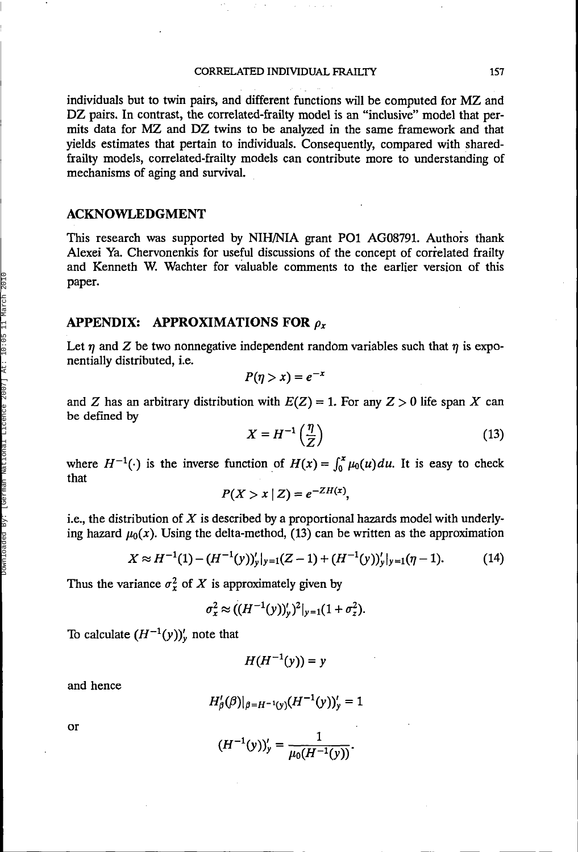individuals but to twin pairs, and different functions will be computed for MZ and DZ pairs. In contrast, the correlated-frailty model is an "inclusive" model that permits data for MZ and DZ twins to be analyzed in the same framework and that yields estimates that pertain to individuals. Consequently, compared with sharedfrailty models, correlated-frailty models can contribute more to understanding of mechanisms of aging and survival.

### **ACKNOWLEDGMENT**

This research was supported by NIH/NIA grant PO1 AG08791. Authors thank Alexei Ya. Chervonenkis for useful discussions of the concept of correlated frailty and Kenneth W. Wachter for valuable comments to the earlier version of this paper.

#### **APPENDIX: APPROXIMATIONS FOR** *p<sup>x</sup>*

Let  $\eta$  and Z be two nonnegative independent random variables such that  $\eta$  is exponentially distributed, i.e.

$$
P(\eta > x) = e^{-x}
$$

and Z has an arbitrary distribution with  $E(Z) = 1$ . For any  $Z > 0$  life span X can be defined by

$$
X = H^{-1}\left(\frac{\eta}{Z}\right) \tag{13}
$$

where  $H^{-1}(\cdot)$  is the inverse function of  $H(x) = \int_0^x \mu_0(u) du$ . It is easy to check that

$$
P(X > x \mid Z) = e^{-ZH(x)},
$$

i.e., the distribution of *X* is described by a proportional hazards model with underlying hazard  $\mu_0(x)$ . Using the delta-method, (13) can be written as the approximation

$$
X \approx H^{-1}(1) - (H^{-1}(y))'_{y}|_{y=1}(Z-1) + (H^{-1}(y))'_{y}|_{y=1}(\eta - 1).
$$
 (14)

Thus the variance  $\sigma_x^2$  of X is approximately given by

$$
\sigma_x^2 \approx ((H^{-1}(y))_y')^2|_{y=1}(1+\sigma_z^2).
$$

To calculate  $(H^{-1}(y))'_{y}$  note that

$$
H(H^{-1}(y)) = y
$$

and hence

$$
H'_{\beta}(\beta)|_{\beta=H^{-1}(y)}(H^{-1}(y))'_{y}=1
$$

or

$$
(H^{-1}(y))_y' = \frac{1}{\mu_0(H^{-1}(y))}.
$$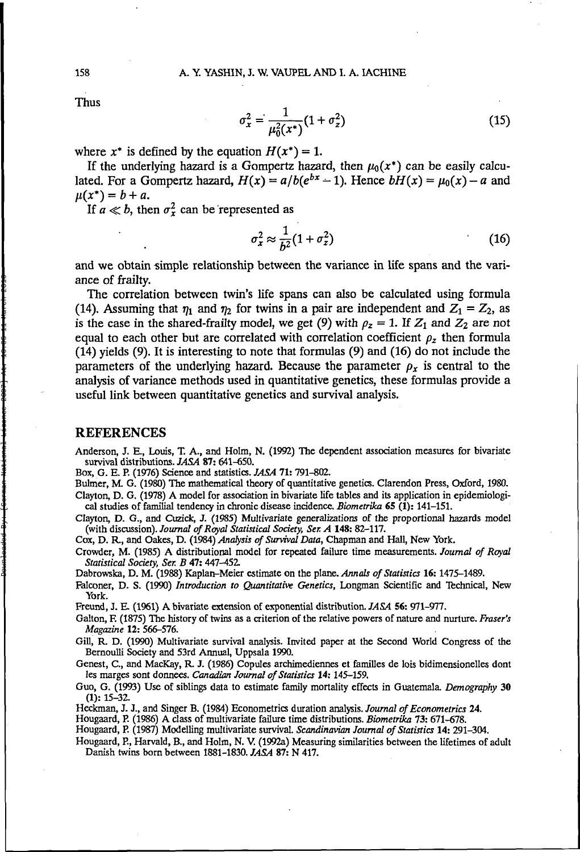Thus

$$
\sigma_x^2 = \frac{1}{\mu_0^2(x^*)} (1 + \sigma_z^2)
$$
 (15)

where  $x^*$  is defined by the equation  $H(x^*) = 1$ .

If the underlying hazard is a Gompertz hazard, then  $\mu_0(x^*)$  can be easily calculated. For a Gompertz hazard,  $H(x) = a/b(e^{bx} - 1)$ . Hence  $bH(x) = \mu_0(x) - a$  and  $\mu(x^*) = b + a$ .

If  $a \ll b$ , then  $\sigma_x^2$  can be represented as

$$
\sigma_x^2 \approx \frac{1}{b^2} (1 + \sigma_z^2) \tag{16}
$$

and we obtain simple relationship between the variance in life spans and the variance of frailty.

The correlation between twin's life spans can also be calculated using formula (14). Assuming that  $\eta_1$  and  $\eta_2$  for twins in a pair are independent and  $Z_1 = Z_2$ , as is the case in the shared-frailty model, we get (9) with  $\rho_z = 1$ . If  $Z_1$  and  $Z_2$  are not equal to each other but are correlated with correlation coefficient  $\rho_z$  then formula (14) yields (9). It is interesting to note that formulas (9) and (16) do not include the parameters of the underlying hazard. Because the parameter  $\rho_x$  is central to the analysis of variance methods used in quantitative genetics, these formulas provide a useful link between quantitative genetics and survival analysis.

#### REFERENCES

Anderson, J. E., Louis, T. A., and Holm, N. (1992) The dependent association measures for bivariate survival distributions. *JASA* 87: 641-650.

Box, G. E. P. (1976) Science and statistics. *JASA* 71: 791-802.

Bulmer, M. G. (1980) The mathematical theory of quantitative genetics. Clarendon Press, Oxford, 1980. Clayton, D. G. (1978) A model for association in bivariate life tables and its application in epidemiological studies of familial tendency in chronic disease incidence. *Biometrika* 65 (1): 141-151.

Clayton, D. G., and Cuzick, J. (1985) Multivariate generalizations of the proportional hazards model (with discussion). *Journal of Royal Statistical Society, Ser. A* **148:** 82-117.

Cox, D. R., and Oakes, D. (1984) *Analysis of Survival Data,* Chapman and Hall, New York.

Crowder, M. (1985) A distributional model for repeated failure time measurements. *Journal of Royal Statistical Society, Ser. B* 47: 447-452.

Dabrowska, D. M. (1988) Kaplan-Meier estimate on the plane. *Annals of Statistics* 16: 1475-1489.

Falconer, D. S. (1990) *Introduction to Quantitative Genetics,* Longman Scientific and Technical, New York.

Freund, J. E. (1961) A bivariate extension of exponential distribution. *JASA* 56: 971-977.

Galton, F. (1875) The history of twins as a criterion of the relative powers of nature and nurture. *Fraser's Magazine* 12: 566-576.

Gill, R. D. (1990) Multivariate survival analysis. Invited paper at the Second World Congress of the Bernoulli Society and 53rd Annual, Uppsala 1990.

Genest, C, and MacKay, R. J. (1986) Copules archimediennes et families de lois bidimensionelles dont les marges sont donnees. *Canadian Journal of Statistics* **14:** 145-159.

Guo, G. (1993) Use of siblings data to estimate family mortality effects in Guatemala *Demography* 30 (1): 15-32.

Heckman, J. J., and Singer B. (1984) Econometrics duration analysis. *Journal of Econometrics* 24.

Hougaard, P. (1986) A class of multivariate failure time distributions. *Biometrika* 73: 671-678.

Hougaard, P. (1987) Modelling multivariate survival. *Scandinavian Journal of Statistics* **14:** 291-304.

Hougaard, P., Harvald, B., and Holm, N. V. (1992a) Measuring similarities between the lifetimes of adult Danish twins born between 1881-1830. *JASA* 87: N 417.